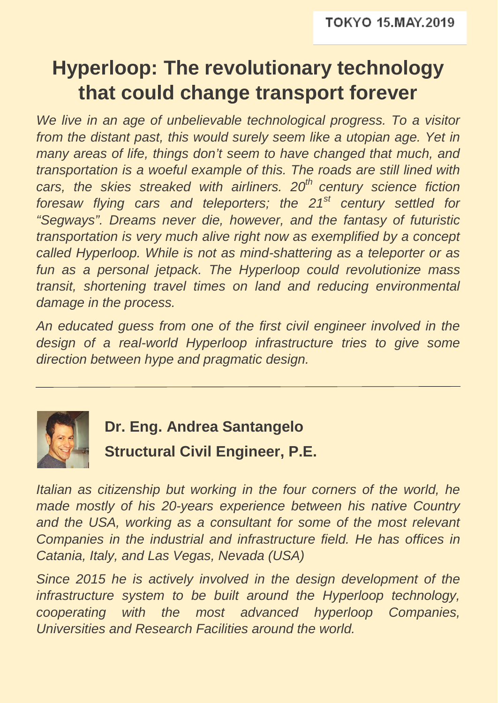## **Hyperloop: The revolutionary technology that could change transport forever**

*We live in an age of unbelievable technological progress. To a visitor*  from the distant past, this would surely seem like a utopian age. Yet in *many areas of life, things don't seem to have changed that much, and transportation is a woeful example of this. The roads are still lined with cars, the skies streaked with airliners. 20th century science fiction foresaw flying cars and teleporters; the 21st century settled for "Segways". Dreams never die, however, and the fantasy of futuristic transportation is very much alive right now as exemplified by a concept called Hyperloop. While is not as mind-shattering as a teleporter or as fun as a personal jetpack. The Hyperloop could revolutionize mass transit, shortening travel times on land and reducing environmental damage in the process.* 

*An educated guess from one of the first civil engineer involved in the*  design of a real-world Hyperloop infrastructure tries to give some *direction between hype and pragmatic design.* 



**Dr. Eng. Andrea Santangelo Structural Civil Engineer, P.E.**

*Italian as citizenship but working in the four corners of the world, he made mostly of his 20-years experience between his native Country*  and the USA, working as a consultant for some of the most relevant *Companies in the industrial and infrastructure field. He has offices in Catania, Italy, and Las Vegas, Nevada (USA)* 

*Since 2015 he is actively involved in the design development of the infrastructure system to be built around the Hyperloop technology, cooperating with the most advanced hyperloop Companies, Universities and Research Facilities around the world.*